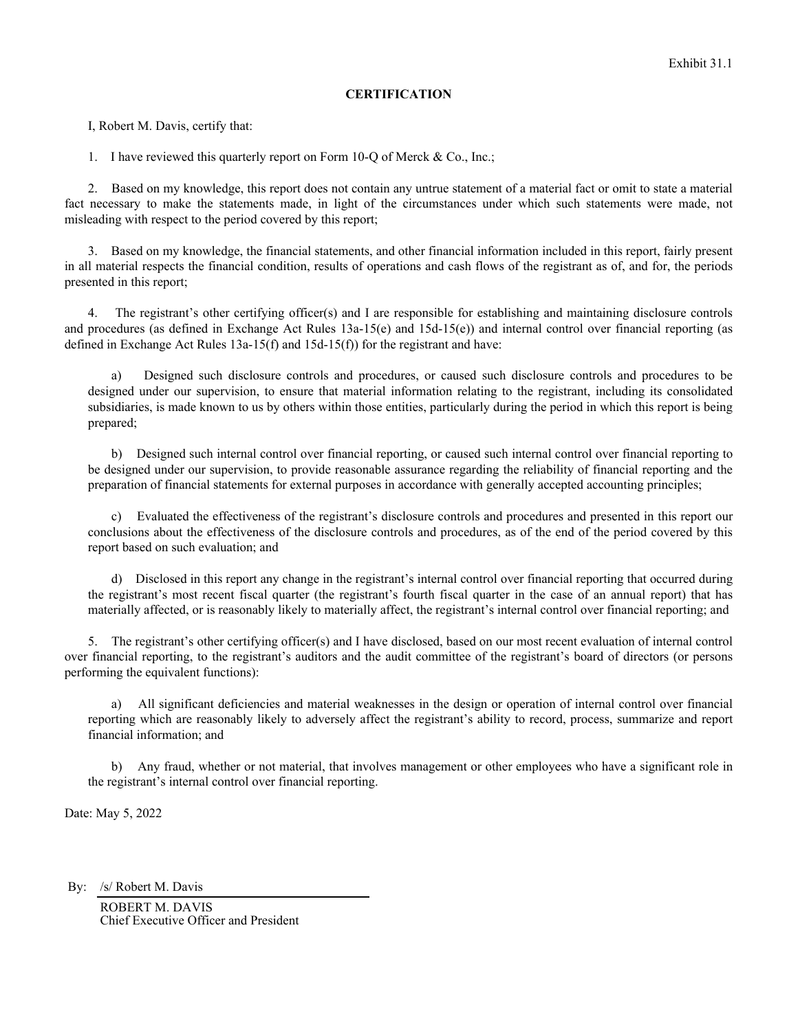## **CERTIFICATION**

I, Robert M. Davis, certify that:

1. I have reviewed this quarterly report on Form 10-Q of Merck & Co., Inc.;

2. Based on my knowledge, this report does not contain any untrue statement of a material fact or omit to state a material fact necessary to make the statements made, in light of the circumstances under which such statements were made, not misleading with respect to the period covered by this report;

3. Based on my knowledge, the financial statements, and other financial information included in this report, fairly present in all material respects the financial condition, results of operations and cash flows of the registrant as of, and for, the periods presented in this report;

4. The registrant's other certifying officer(s) and I are responsible for establishing and maintaining disclosure controls and procedures (as defined in Exchange Act Rules  $13a-15(e)$  and  $15d-15(e)$ ) and internal control over financial reporting (as defined in Exchange Act Rules 13a-15(f) and 15d-15(f)) for the registrant and have:

a) Designed such disclosure controls and procedures, or caused such disclosure controls and procedures to be designed under our supervision, to ensure that material information relating to the registrant, including its consolidated subsidiaries, is made known to us by others within those entities, particularly during the period in which this report is being prepared;

b) Designed such internal control over financial reporting, or caused such internal control over financial reporting to be designed under our supervision, to provide reasonable assurance regarding the reliability of financial reporting and the preparation of financial statements for external purposes in accordance with generally accepted accounting principles;

c) Evaluated the effectiveness of the registrant's disclosure controls and procedures and presented in this report our conclusions about the effectiveness of the disclosure controls and procedures, as of the end of the period covered by this report based on such evaluation; and

d) Disclosed in this report any change in the registrant's internal control over financial reporting that occurred during the registrant's most recent fiscal quarter (the registrant's fourth fiscal quarter in the case of an annual report) that has materially affected, or is reasonably likely to materially affect, the registrant's internal control over financial reporting; and

5. The registrant's other certifying officer(s) and I have disclosed, based on our most recent evaluation of internal control over financial reporting, to the registrant's auditors and the audit committee of the registrant's board of directors (or persons performing the equivalent functions):

a) All significant deficiencies and material weaknesses in the design or operation of internal control over financial reporting which are reasonably likely to adversely affect the registrant's ability to record, process, summarize and report financial information; and

b) Any fraud, whether or not material, that involves management or other employees who have a significant role in the registrant's internal control over financial reporting.

Date: May 5, 2022

By: /s/ Robert M. Davis

ROBERT M. DAVIS Chief Executive Officer and President